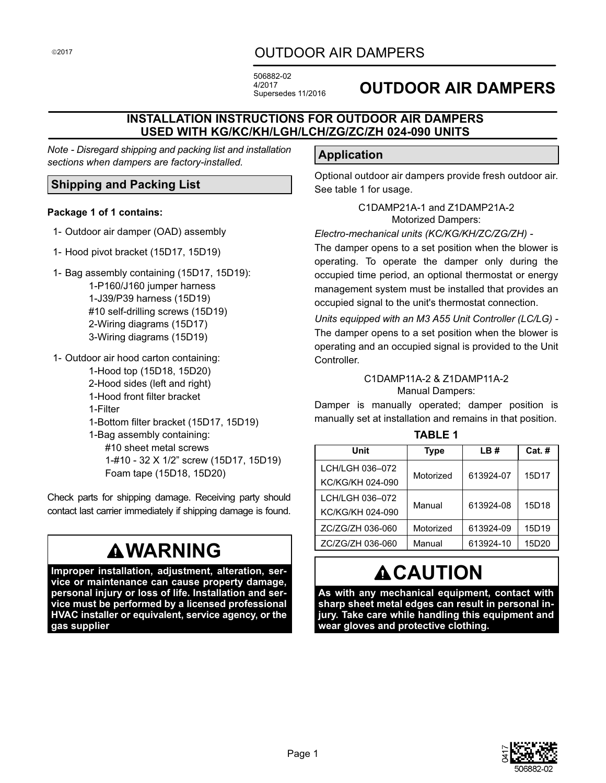# OUTDOOR AIR DAMPERS

506882-02 4/2017 Supersedes 11/2016

# **OUTDOOR AIR DAMPERS**

# **INSTALLATION INSTRUCTIONS FOR OUTDOOR AIR DAMPERS USED WITH KG/KC/KH/LGH/LCH/ZG/ZC/ZH 024-090 UNITS**

*Note - Disregard shipping and packing list and installation sections when dampers are factory-installed.*

# **Shipping and Packing List**

#### **Package 1 of 1 contains:**

- 1- Outdoor air damper (OAD) assembly
- 1- Hood pivot bracket (15D17, 15D19)
- 1- Bag assembly containing (15D17, 15D19): 1-P160/J160 jumper harness 1-J39/P39 harness (15D19) #10 self-drilling screws (15D19) 2-Wiring diagrams (15D17) 3-Wiring diagrams (15D19)
- 1- Outdoor air hood carton containing: 1-Hood top (15D18, 15D20) 2-Hood sides (left and right) 1-Hood front filter bracket 1-Filter
	- 1-Bottom filter bracket (15D17, 15D19) 1-Bag assembly containing: #10 sheet metal screws 1-#10 - 32 X 1/2" screw (15D17, 15D19) Foam tape (15D18, 15D20)

Check parts for shipping damage. Receiving party should contact last carrier immediately if shipping damage is found.

# **WARNING**

**Improper installation, adjustment, alteration, service or maintenance can cause property damage, personal injury or loss of life. Installation and service must be performed by a licensed professional HVAC installer or equivalent, service agency, or the gas supplier**

# **Application**

Optional outdoor air dampers provide fresh outdoor air. See table 1 for usage.

> C1DAMP21A-1 and Z1DAMP21A-2 Motorized Dampers:

#### *Electro-mechanical units (KC/KG/KH/ZC/ZG/ZH) -*

The damper opens to a set position when the blower is operating. To operate the damper only during the occupied time period, an optional thermostat or energy management system must be installed that provides an occupied signal to the unit's thermostat connection.

*Units equipped with an M3 A55 Unit Controller (LC/LG) -* The damper opens to a set position when the blower is operating and an occupied signal is provided to the Unit Controller.

#### C1DAMP11A-2 & Z1DAMP11A-2 Manual Dampers:

Damper is manually operated; damper position is manually set at installation and remains in that position.

#### **TABLE 1**

| Unit             | <b>Type</b> | LB#       | $Cat.$ # |
|------------------|-------------|-----------|----------|
| LCH/LGH 036-072  | Motorized   | 613924-07 | 15D17    |
| KC/KG/KH 024-090 |             |           |          |
| LCH/LGH 036-072  | Manual      | 613924-08 | 15D18    |
| KC/KG/KH 024-090 |             |           |          |
| ZC/ZG/ZH 036-060 | Motorized   | 613924-09 | 15D19    |
| ZC/ZG/ZH 036-060 | Manual      | 613924-10 | 15D20    |

# **ACAUTION**

**As with any mechanical equipment, contact with sharp sheet metal edges can result in personal injury. Take care while handling this equipment and wear gloves and protective clothing.**



©2017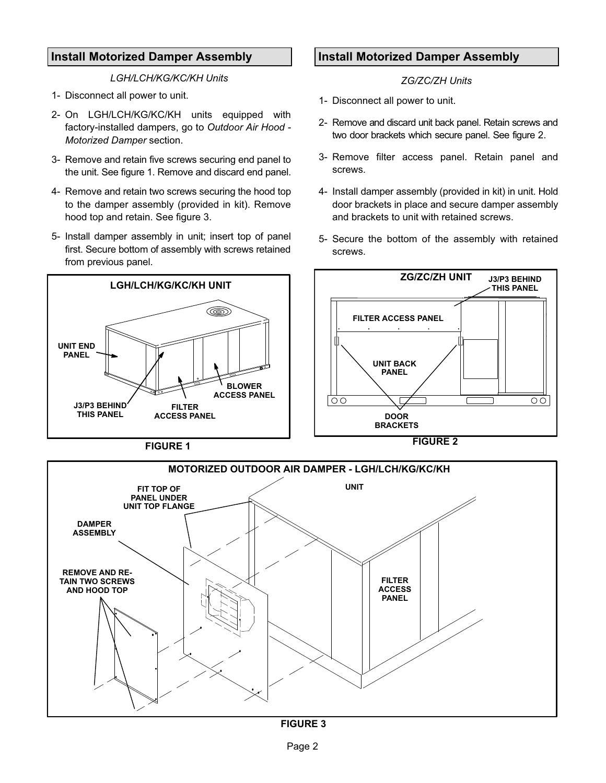## <span id="page-1-0"></span>**Install Motorized Damper Assembly**

*LGH/LCH/KG/KC/KH Units*

- 1- Disconnect all power to unit.
- 2- On LGH/LCH/KG/KC/KH units equipped with factory-installed dampers, go to *Outdoor Air Hood - Motorized Damper* section.
- 3- Remove and retain five screws securing end panel to the unit. See figure 1. Remove and discard end panel.
- 4- Remove and retain two screws securing the hood top to the damper assembly (provided in kit). Remove hood top and retain. See figure 3.
- 5- Install damper assembly in unit; insert top of panel first. Secure bottom of assembly with screws retained from previous panel.

# **Install Motorized Damper Assembly**

*ZG/ZC/ZH Units*

- 1- Disconnect all power to unit.
- 2- Remove and discard unit back panel. Retain screws and two door brackets which secure panel. See figure 2.
- 3- Remove filter access panel. Retain panel and screws.
- 4- Install damper assembly (provided in kit) in unit. Hold door brackets in place and secure damper assembly and brackets to unit with retained screws.
- 5- Secure the bottom of the assembly with retained screws.







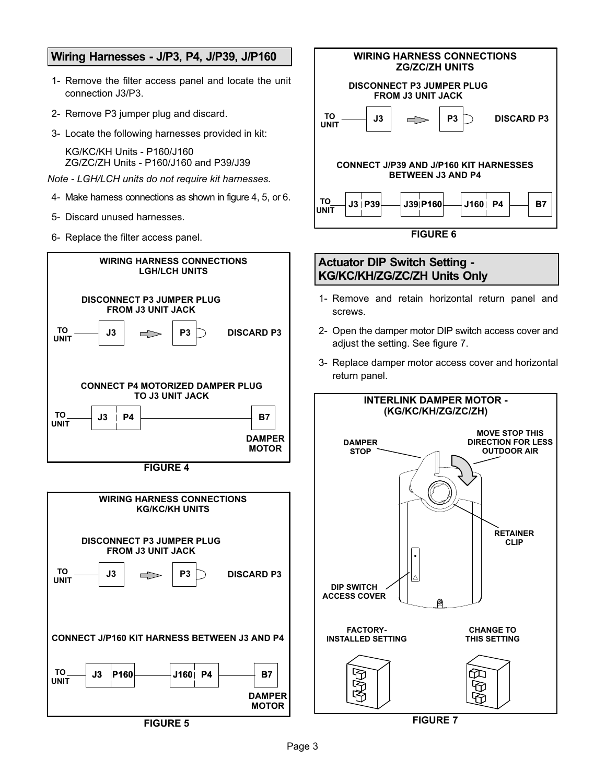### <span id="page-2-0"></span>**Wiring Harnesses - J/P3, P4, J/P39, J/P160**

- 1- Remove the filter access panel and locate the unit connection J3/P3.
- 2- Remove P3 jumper plug and discard.
- 3- Locate the following harnesses provided in kit:

KG/KC/KH Units - P160/J160 ZG/ZC/ZH Units - P160/J160 and P39/J39

- *Note LGH/LCH units do not require kit harnesses.*
- 4- Make harness connections as shown in figure 4, 5, or 6.
- 5- Discard unused harnesses.
- 6- Replace the filter access panel.





**FIGURE 5**



**FIGURE 7**

îD භ

ĿŦ

D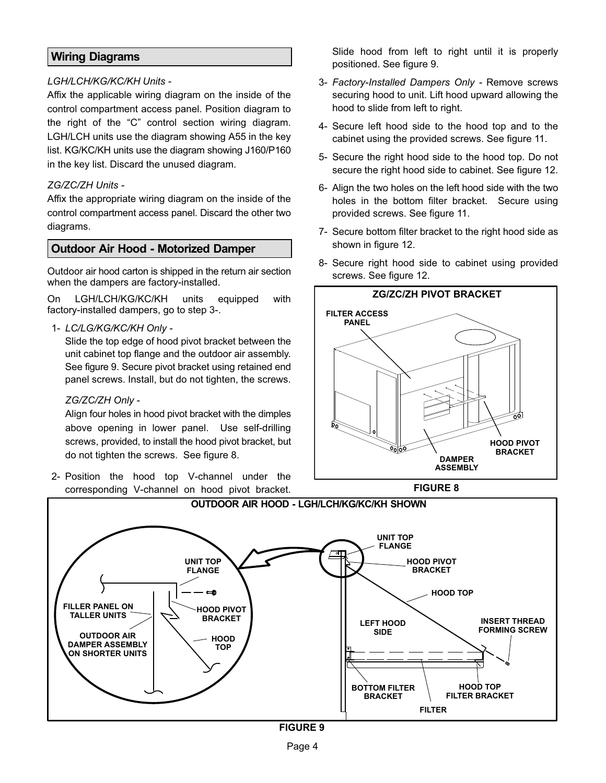# **Wiring Diagrams**

#### *LGH/LCH/KG/KC/KH Units -*

Affix the applicable wiring diagram on the inside of the control compartment access panel. Position diagram to the right of the "C" control section wiring diagram. LGH/LCH units use the diagram showing A55 in the key list. KG/KC/KH units use the diagram showing J160/P160 in the key list. Discard the unused diagram.

#### *ZG/ZC/ZH Units -*

Affix the appropriate wiring diagram on the inside of the control compartment access panel. Discard the other two diagrams.

## **Outdoor Air Hood - Motorized Damper**

Outdoor air hood carton is shipped in the return air section when the dampers are factory-installed.

On LGH/LCH/KG/KC/KH units equipped with factory-installed dampers, go to step 3-.

1- *LC/LG/KG/KC/KH Only -* 

Slide the top edge of hood pivot bracket between the unit cabinet top flange and the outdoor air assembly. See figure 9. Secure pivot bracket using retained end panel screws. Install, but do not tighten, the screws.

#### *ZG/ZC/ZH Only -*

Align four holes in hood pivot bracket with the dimples above opening in lower panel. Use self-drilling screws, provided, to install the hood pivot bracket, but do not tighten the screws. See figure 8.

2- Position the hood top V-channel under the corresponding V-channel on hood pivot bracket.

Slide hood from left to right until it is properly positioned. See figure 9.

- 3- *Factory-Installed Dampers Only* Remove screws securing hood to unit. Lift hood upward allowing the hood to slide from left to right.
- 4- Secure left hood side to the hood top and to the cabinet using the provided screws. See figure [11.](#page-4-0)
- 5- Secure the right hood side to the hood top. Do not secure the right hood side to cabinet. See figure [12](#page-4-0).
- 6- Align the two holes on the left hood side with the two holes in the bottom filter bracket. Secure using provided screws. See figure [11](#page-4-0).
- 7- Secure bottom filter bracket to the right hood side as shown in figure [12.](#page-4-0)
- 8- Secure right hood side to cabinet using provided screws. See figure [12.](#page-4-0)





**FIGURE 9**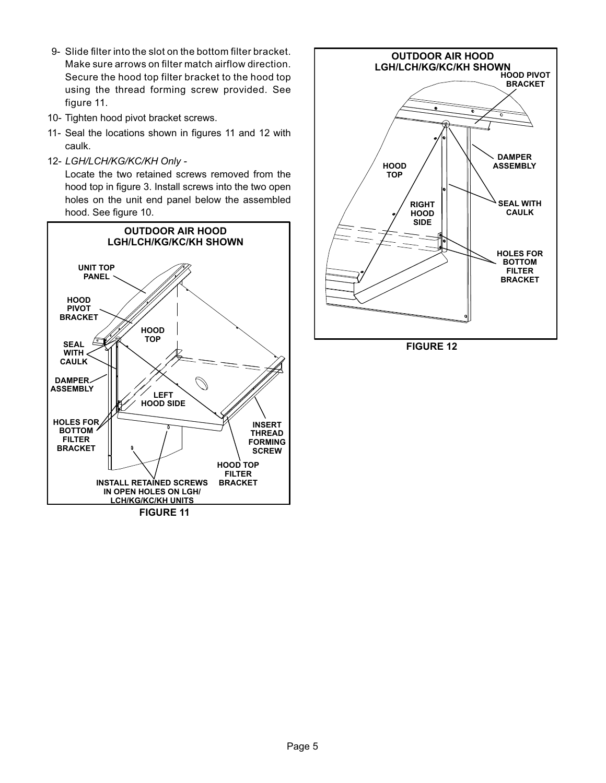- <span id="page-4-0"></span>9- Slide filter into the slot on the bottom filter bracket. Make sure arrows on filter match airflow direction. Secure the hood top filter bracket to the hood top using the thread forming screw provided. See figure 11.
- 10- Tighten hood pivot bracket screws.
- 11- Seal the locations shown in figures 11 and 12 with caulk.
- 12- *LGH/LCH/KG/KC/KH Only -*

Locate the two retained screws removed from the hood top in figure [3.](#page-1-0) Install screws into the two open holes on the unit end panel below the assembled hood. See figure 10.





**FIGURE 12**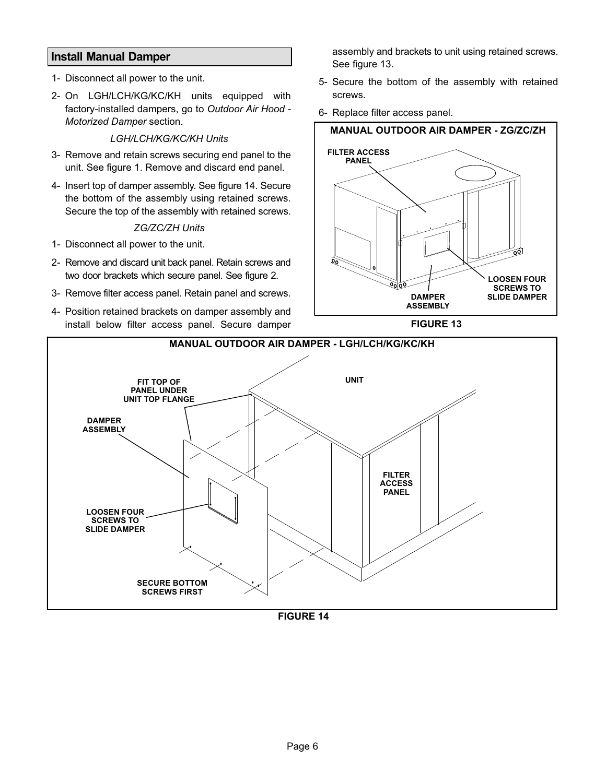## **Install Manual Damper**

- 1- Disconnect all power to the unit.
- 2- On LGH/LCH/KG/KC/KH units equipped with factory-installed dampers, go to *Outdoor Air Hood - Motorized Damper* section.

#### *LGH/LCH/KG/KC/KH Units*

- 3- Remove and retain screws securing end panel to the unit. See figure 1. Remove and discard end panel.
- 4- Insert top of damper assembly. See figure 14. Secure the bottom of the assembly using retained screws. Secure the top of the assembly with retained screws.

#### *ZG/ZC/ZH Units*

- 1- Disconnect all power to the unit.
- 2- Remove and discard unit back panel. Retain screws and two door brackets which secure panel. See figure 2.
- 3- Remove filter access panel. Retain panel and screws.
- 4- Position retained brackets on damper assembly and install below filter access panel. Secure damper

assembly and brackets to unit using retained screws. See figure 13.

- 5- Secure the bottom of the assembly with retained screws.
- 6- Replace filter access panel.







**FIGURE 14**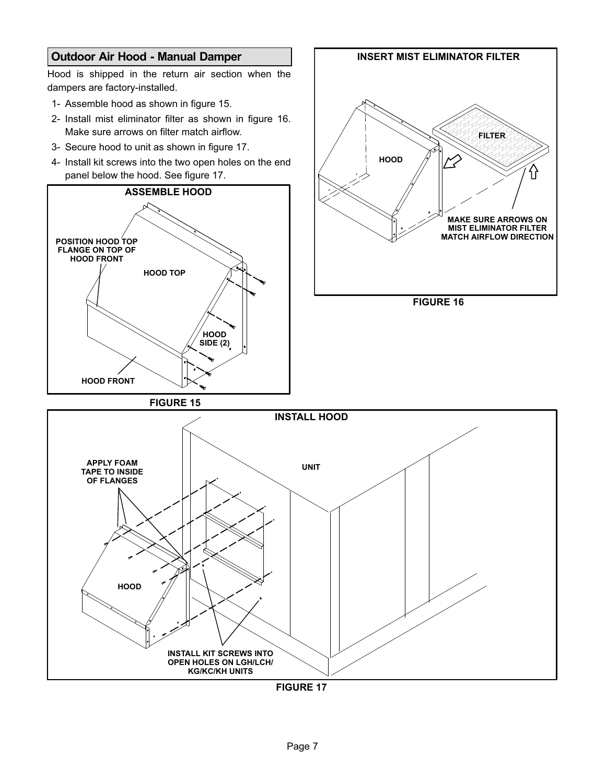# **Outdoor Air Hood - Manual Damper** Hood is shipped in the return air section when the dampers are factory-installed. 1- Assemble hood as shown in figure 15. 2- Install mist eliminator filter as shown in figure 16. Make sure arrows on filter match airflow. 3- Secure hood to unit as shown in figure 17. 4- Install kit screws into the two open holes on the end panel below the hood. See figure 17. **HOOD TOP ASSEMBLE HOOD HOOD SIDE (2) HOOD FRONT POSITION HOOD TOP FLANGE ON TOP OF HOOD FRONT FIGURE 15** ÂÂÂÂÂÂÂÂ ÂÂÂÂÂÂÂÂ AAR AN AART AAN AAN AAN AAN DIE GEBEURE GE **HOOD** ÂÂÂÂÂÂÂÂ **INSERT MIST ELIMINATOR FILTER FILTER MAKE SURE ARROWS ON MIST ELIMINATOR FILTER MATCH AIRFLOW DIRECTION FIGURE 16 HOOD INSTALL HOOD UNIT APPLY FOAM TAPE TO INSIDE OF FLANGES INSTALL KIT SCREWS INTO OPEN HOLES ON LGH/LCH/ KG/KC/KH UNITS**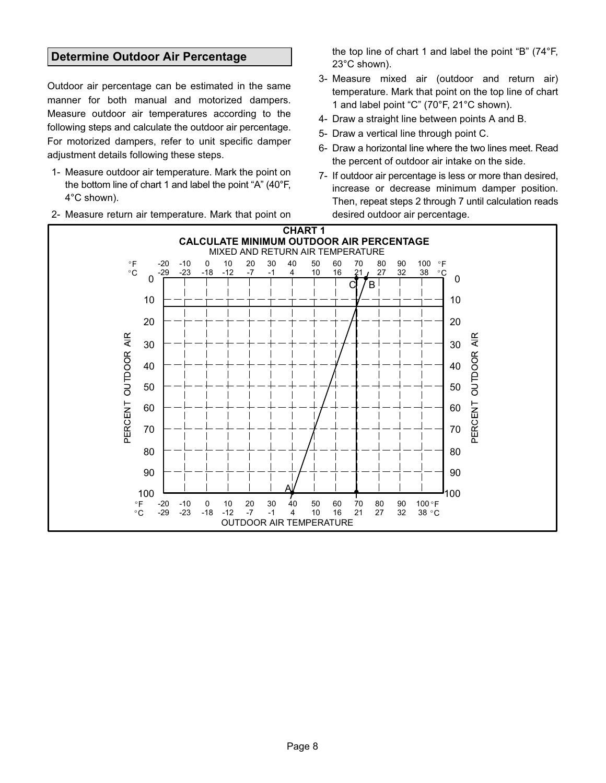### **Determine Outdoor Air Percentage**

Outdoor air percentage can be estimated in the same manner for both manual and motorized dampers. Measure outdoor air temperatures according to the following steps and calculate the outdoor air percentage. For motorized dampers, refer to unit specific damper adjustment details following these steps.

- 1- Measure outdoor air temperature. Mark the point on the bottom line of chart 1 and label the point "A" (40°F, 4°C shown).
- 2- Measure return air temperature. Mark that point on

the top line of chart 1 and label the point "B" (74°F, 23°C shown).

- 3- Measure mixed air (outdoor and return air) temperature. Mark that point on the top line of chart 1 and label point "C" (70°F, 21°C shown).
- 4- Draw a straight line between points A and B.
- 5- Draw a vertical line through point C.
- 6- Draw a horizontal line where the two lines meet. Read the percent of outdoor air intake on the side.
- 7- If outdoor air percentage is less or more than desired, increase or decrease minimum damper position. Then, repeat steps 2 through 7 until calculation reads desired outdoor air percentage.

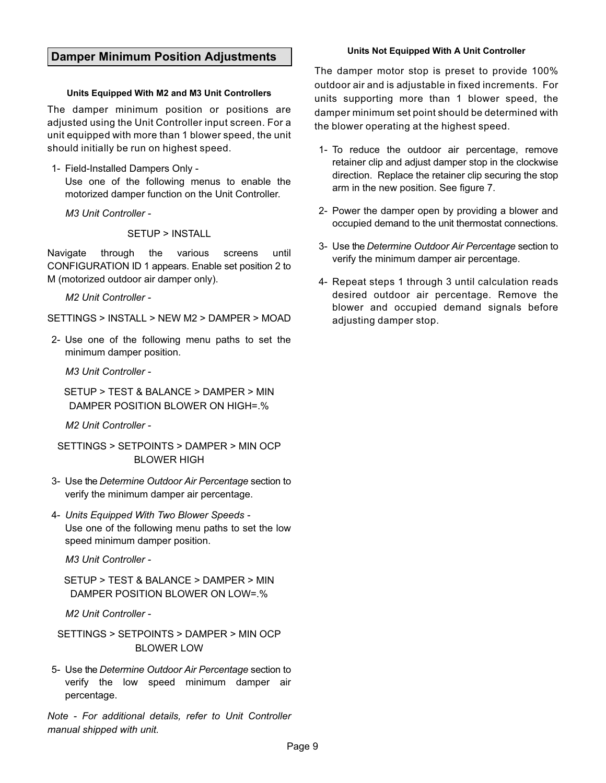#### **Damper Minimum Position Adjustments**

#### **Units Equipped With M2 and M3 Unit Controllers**

The damper minimum position or positions are adjusted using the Unit Controller input screen. For a unit equipped with more than 1 blower speed, the unit should initially be run on highest speed.

1- Field-Installed Dampers Only -

Use one of the following menus to enable the motorized damper function on the Unit Controller.

*M3 Unit Controller -*

SETUP > INSTALL

Navigate through the various screens until CONFIGURATION ID 1 appears. Enable set position 2 to M (motorized outdoor air damper only).

*M2 Unit Controller -*

SETTINGS > INSTALL > NEW M2 > DAMPER > MOAD

2- Use one of the following menu paths to set the minimum damper position.

*M3 Unit Controller -*

SETUP > TEST & BALANCE > DAMPER > MIN DAMPER POSITION BLOWER ON HIGH=.%

*M2 Unit Controller -*

SETTINGS > SETPOINTS > DAMPER > MIN OCP BLOWER HIGH

- 3- Use the *Determine Outdoor Air Percentage* section to verify the minimum damper air percentage.
- 4- *Units Equipped With Two Blower Speeds -* Use one of the following menu paths to set the low speed minimum damper position.

*M3 Unit Controller -*

SETUP > TEST & BALANCE > DAMPER > MIN DAMPER POSITION BLOWER ON LOW=.%

*M2 Unit Controller -*

SETTINGS > SETPOINTS > DAMPER > MIN OCP BLOWER LOW

5- Use the *Determine Outdoor Air Percentage* section to verify the low speed minimum damper air percentage.

*Note - For additional details, refer to Unit Controller manual shipped with unit.*

The damper motor stop is preset to provide 100% outdoor air and is adjustable in fixed increments. For units supporting more than 1 blower speed, the damper minimum set point should be determined with the blower operating at the highest speed.

- 1- To reduce the outdoor air percentage, remove retainer clip and adjust damper stop in the clockwise direction. Replace the retainer clip securing the stop arm in the new position. See figure [7.](#page-2-0)
- 2- Power the damper open by providing a blower and occupied demand to the unit thermostat connections.
- 3- Use the *Determine Outdoor Air Percentage* section to verify the minimum damper air percentage.
- 4- Repeat steps 1 through 3 until calculation reads desired outdoor air percentage. Remove the blower and occupied demand signals before adjusting damper stop.

#### **Units Not Equipped With A Unit Controller**